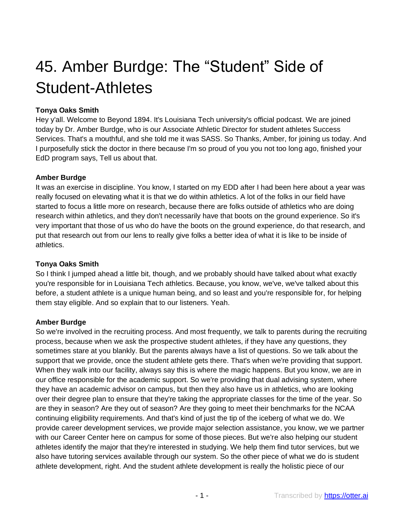# 45. Amber Burdge: The "Student" Side of Student-Athletes

## **Tonya Oaks Smith**

Hey y'all. Welcome to Beyond 1894. It's Louisiana Tech university's official podcast. We are joined today by Dr. Amber Burdge, who is our Associate Athletic Director for student athletes Success Services. That's a mouthful, and she told me it was SASS. So Thanks, Amber, for joining us today. And I purposefully stick the doctor in there because I'm so proud of you you not too long ago, finished your EdD program says, Tell us about that.

## **Amber Burdge**

It was an exercise in discipline. You know, I started on my EDD after I had been here about a year was really focused on elevating what it is that we do within athletics. A lot of the folks in our field have started to focus a little more on research, because there are folks outside of athletics who are doing research within athletics, and they don't necessarily have that boots on the ground experience. So it's very important that those of us who do have the boots on the ground experience, do that research, and put that research out from our lens to really give folks a better idea of what it is like to be inside of athletics.

## **Tonya Oaks Smith**

So I think I jumped ahead a little bit, though, and we probably should have talked about what exactly you're responsible for in Louisiana Tech athletics. Because, you know, we've, we've talked about this before, a student athlete is a unique human being, and so least and you're responsible for, for helping them stay eligible. And so explain that to our listeners. Yeah.

## **Amber Burdge**

So we're involved in the recruiting process. And most frequently, we talk to parents during the recruiting process, because when we ask the prospective student athletes, if they have any questions, they sometimes stare at you blankly. But the parents always have a list of questions. So we talk about the support that we provide, once the student athlete gets there. That's when we're providing that support. When they walk into our facility, always say this is where the magic happens. But you know, we are in our office responsible for the academic support. So we're providing that dual advising system, where they have an academic advisor on campus, but then they also have us in athletics, who are looking over their degree plan to ensure that they're taking the appropriate classes for the time of the year. So are they in season? Are they out of season? Are they going to meet their benchmarks for the NCAA continuing eligibility requirements. And that's kind of just the tip of the iceberg of what we do. We provide career development services, we provide major selection assistance, you know, we we partner with our Career Center here on campus for some of those pieces. But we're also helping our student athletes identify the major that they're interested in studying. We help them find tutor services, but we also have tutoring services available through our system. So the other piece of what we do is student athlete development, right. And the student athlete development is really the holistic piece of our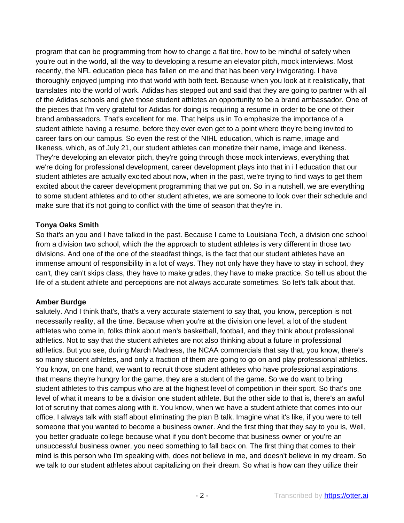program that can be programming from how to change a flat tire, how to be mindful of safety when you're out in the world, all the way to developing a resume an elevator pitch, mock interviews. Most recently, the NFL education piece has fallen on me and that has been very invigorating. I have thoroughly enjoyed jumping into that world with both feet. Because when you look at it realistically, that translates into the world of work. Adidas has stepped out and said that they are going to partner with all of the Adidas schools and give those student athletes an opportunity to be a brand ambassador. One of the pieces that I'm very grateful for Adidas for doing is requiring a resume in order to be one of their brand ambassadors. That's excellent for me. That helps us in To emphasize the importance of a student athlete having a resume, before they ever even get to a point where they're being invited to career fairs on our campus. So even the rest of the NIHL education, which is name, image and likeness, which, as of July 21, our student athletes can monetize their name, image and likeness. They're developing an elevator pitch, they're going through those mock interviews, everything that we're doing for professional development, career development plays into that in i l education that our student athletes are actually excited about now, when in the past, we're trying to find ways to get them excited about the career development programming that we put on. So in a nutshell, we are everything to some student athletes and to other student athletes, we are someone to look over their schedule and make sure that it's not going to conflict with the time of season that they're in.

#### **Tonya Oaks Smith**

So that's an you and I have talked in the past. Because I came to Louisiana Tech, a division one school from a division two school, which the the approach to student athletes is very different in those two divisions. And one of the one of the steadfast things, is the fact that our student athletes have an immense amount of responsibility in a lot of ways. They not only have they have to stay in school, they can't, they can't skips class, they have to make grades, they have to make practice. So tell us about the life of a student athlete and perceptions are not always accurate sometimes. So let's talk about that.

## **Amber Burdge**

salutely. And I think that's, that's a very accurate statement to say that, you know, perception is not necessarily reality, all the time. Because when you're at the division one level, a lot of the student athletes who come in, folks think about men's basketball, football, and they think about professional athletics. Not to say that the student athletes are not also thinking about a future in professional athletics. But you see, during March Madness, the NCAA commercials that say that, you know, there's so many student athletes, and only a fraction of them are going to go on and play professional athletics. You know, on one hand, we want to recruit those student athletes who have professional aspirations, that means they're hungry for the game, they are a student of the game. So we do want to bring student athletes to this campus who are at the highest level of competition in their sport. So that's one level of what it means to be a division one student athlete. But the other side to that is, there's an awful lot of scrutiny that comes along with it. You know, when we have a student athlete that comes into our office, I always talk with staff about eliminating the plan B talk. Imagine what it's like, if you were to tell someone that you wanted to become a business owner. And the first thing that they say to you is, Well, you better graduate college because what if you don't become that business owner or you're an unsuccessful business owner, you need something to fall back on. The first thing that comes to their mind is this person who I'm speaking with, does not believe in me, and doesn't believe in my dream. So we talk to our student athletes about capitalizing on their dream. So what is how can they utilize their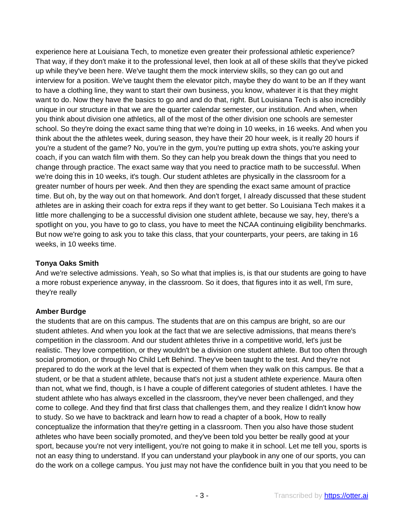experience here at Louisiana Tech, to monetize even greater their professional athletic experience? That way, if they don't make it to the professional level, then look at all of these skills that they've picked up while they've been here. We've taught them the mock interview skills, so they can go out and interview for a position. We've taught them the elevator pitch, maybe they do want to be an If they want to have a clothing line, they want to start their own business, you know, whatever it is that they might want to do. Now they have the basics to go and and do that, right. But Louisiana Tech is also incredibly unique in our structure in that we are the quarter calendar semester, our institution. And when, when you think about division one athletics, all of the most of the other division one schools are semester school. So they're doing the exact same thing that we're doing in 10 weeks, in 16 weeks. And when you think about the the athletes week, during season, they have their 20 hour week, is it really 20 hours if you're a student of the game? No, you're in the gym, you're putting up extra shots, you're asking your coach, if you can watch film with them. So they can help you break down the things that you need to change through practice. The exact same way that you need to practice math to be successful. When we're doing this in 10 weeks, it's tough. Our student athletes are physically in the classroom for a greater number of hours per week. And then they are spending the exact same amount of practice time. But oh, by the way out on that homework. And don't forget, I already discussed that these student athletes are in asking their coach for extra reps if they want to get better. So Louisiana Tech makes it a little more challenging to be a successful division one student athlete, because we say, hey, there's a spotlight on you, you have to go to class, you have to meet the NCAA continuing eligibility benchmarks. But now we're going to ask you to take this class, that your counterparts, your peers, are taking in 16 weeks, in 10 weeks time.

### **Tonya Oaks Smith**

And we're selective admissions. Yeah, so So what that implies is, is that our students are going to have a more robust experience anyway, in the classroom. So it does, that figures into it as well, I'm sure, they're really

## **Amber Burdge**

the students that are on this campus. The students that are on this campus are bright, so are our student athletes. And when you look at the fact that we are selective admissions, that means there's competition in the classroom. And our student athletes thrive in a competitive world, let's just be realistic. They love competition, or they wouldn't be a division one student athlete. But too often through social promotion, or through No Child Left Behind. They've been taught to the test. And they're not prepared to do the work at the level that is expected of them when they walk on this campus. Be that a student, or be that a student athlete, because that's not just a student athlete experience. Maura often than not, what we find, though, is I have a couple of different categories of student athletes. I have the student athlete who has always excelled in the classroom, they've never been challenged, and they come to college. And they find that first class that challenges them, and they realize I didn't know how to study. So we have to backtrack and learn how to read a chapter of a book, How to really conceptualize the information that they're getting in a classroom. Then you also have those student athletes who have been socially promoted, and they've been told you better be really good at your sport, because you're not very intelligent, you're not going to make it in school. Let me tell you, sports is not an easy thing to understand. If you can understand your playbook in any one of our sports, you can do the work on a college campus. You just may not have the confidence built in you that you need to be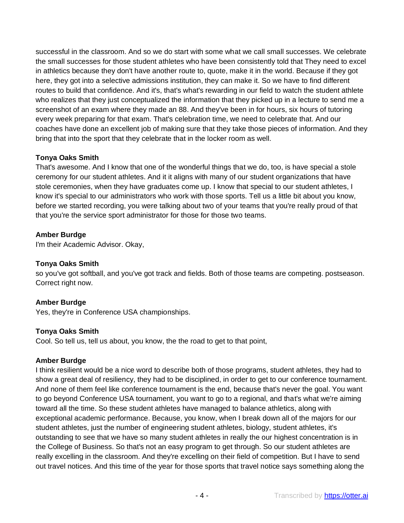successful in the classroom. And so we do start with some what we call small successes. We celebrate the small successes for those student athletes who have been consistently told that They need to excel in athletics because they don't have another route to, quote, make it in the world. Because if they got here, they got into a selective admissions institution, they can make it. So we have to find different routes to build that confidence. And it's, that's what's rewarding in our field to watch the student athlete who realizes that they just conceptualized the information that they picked up in a lecture to send me a screenshot of an exam where they made an 88. And they've been in for hours, six hours of tutoring every week preparing for that exam. That's celebration time, we need to celebrate that. And our coaches have done an excellent job of making sure that they take those pieces of information. And they bring that into the sport that they celebrate that in the locker room as well.

## **Tonya Oaks Smith**

That's awesome. And I know that one of the wonderful things that we do, too, is have special a stole ceremony for our student athletes. And it it aligns with many of our student organizations that have stole ceremonies, when they have graduates come up. I know that special to our student athletes, I know it's special to our administrators who work with those sports. Tell us a little bit about you know, before we started recording, you were talking about two of your teams that you're really proud of that that you're the service sport administrator for those for those two teams.

## **Amber Burdge**

I'm their Academic Advisor. Okay,

#### **Tonya Oaks Smith**

so you've got softball, and you've got track and fields. Both of those teams are competing. postseason. Correct right now.

#### **Amber Burdge**

Yes, they're in Conference USA championships.

#### **Tonya Oaks Smith**

Cool. So tell us, tell us about, you know, the the road to get to that point,

## **Amber Burdge**

I think resilient would be a nice word to describe both of those programs, student athletes, they had to show a great deal of resiliency, they had to be disciplined, in order to get to our conference tournament. And none of them feel like conference tournament is the end, because that's never the goal. You want to go beyond Conference USA tournament, you want to go to a regional, and that's what we're aiming toward all the time. So these student athletes have managed to balance athletics, along with exceptional academic performance. Because, you know, when I break down all of the majors for our student athletes, just the number of engineering student athletes, biology, student athletes, it's outstanding to see that we have so many student athletes in really the our highest concentration is in the College of Business. So that's not an easy program to get through. So our student athletes are really excelling in the classroom. And they're excelling on their field of competition. But I have to send out travel notices. And this time of the year for those sports that travel notice says something along the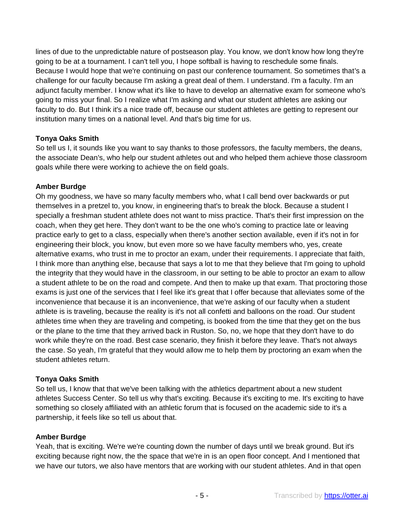lines of due to the unpredictable nature of postseason play. You know, we don't know how long they're going to be at a tournament. I can't tell you, I hope softball is having to reschedule some finals. Because I would hope that we're continuing on past our conference tournament. So sometimes that's a challenge for our faculty because I'm asking a great deal of them. I understand. I'm a faculty. I'm an adjunct faculty member. I know what it's like to have to develop an alternative exam for someone who's going to miss your final. So I realize what I'm asking and what our student athletes are asking our faculty to do. But I think it's a nice trade off, because our student athletes are getting to represent our institution many times on a national level. And that's big time for us.

## **Tonya Oaks Smith**

So tell us I, it sounds like you want to say thanks to those professors, the faculty members, the deans, the associate Dean's, who help our student athletes out and who helped them achieve those classroom goals while there were working to achieve the on field goals.

#### **Amber Burdge**

Oh my goodness, we have so many faculty members who, what I call bend over backwards or put themselves in a pretzel to, you know, in engineering that's to break the block. Because a student I specially a freshman student athlete does not want to miss practice. That's their first impression on the coach, when they get here. They don't want to be the one who's coming to practice late or leaving practice early to get to a class, especially when there's another section available, even if it's not in for engineering their block, you know, but even more so we have faculty members who, yes, create alternative exams, who trust in me to proctor an exam, under their requirements. I appreciate that faith, I think more than anything else, because that says a lot to me that they believe that I'm going to uphold the integrity that they would have in the classroom, in our setting to be able to proctor an exam to allow a student athlete to be on the road and compete. And then to make up that exam. That proctoring those exams is just one of the services that I feel like it's great that I offer because that alleviates some of the inconvenience that because it is an inconvenience, that we're asking of our faculty when a student athlete is is traveling, because the reality is it's not all confetti and balloons on the road. Our student athletes time when they are traveling and competing, is booked from the time that they get on the bus or the plane to the time that they arrived back in Ruston. So, no, we hope that they don't have to do work while they're on the road. Best case scenario, they finish it before they leave. That's not always the case. So yeah, I'm grateful that they would allow me to help them by proctoring an exam when the student athletes return.

## **Tonya Oaks Smith**

So tell us, I know that that we've been talking with the athletics department about a new student athletes Success Center. So tell us why that's exciting. Because it's exciting to me. It's exciting to have something so closely affiliated with an athletic forum that is focused on the academic side to it's a partnership, it feels like so tell us about that.

#### **Amber Burdge**

Yeah, that is exciting. We're we're counting down the number of days until we break ground. But it's exciting because right now, the the space that we're in is an open floor concept. And I mentioned that we have our tutors, we also have mentors that are working with our student athletes. And in that open